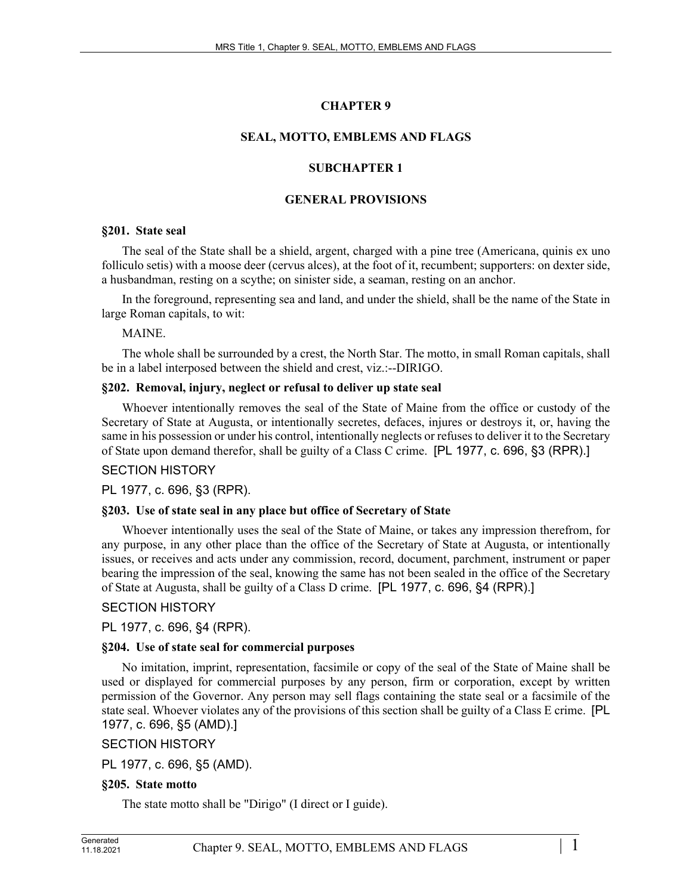# **CHAPTER 9**

# **SEAL, MOTTO, EMBLEMS AND FLAGS**

## **SUBCHAPTER 1**

## **GENERAL PROVISIONS**

#### **§201. State seal**

The seal of the State shall be a shield, argent, charged with a pine tree (Americana, quinis ex uno folliculo setis) with a moose deer (cervus alces), at the foot of it, recumbent; supporters: on dexter side, a husbandman, resting on a scythe; on sinister side, a seaman, resting on an anchor.

In the foreground, representing sea and land, and under the shield, shall be the name of the State in large Roman capitals, to wit:

MAINE.

The whole shall be surrounded by a crest, the North Star. The motto, in small Roman capitals, shall be in a label interposed between the shield and crest, viz.:--DIRIGO.

#### **§202. Removal, injury, neglect or refusal to deliver up state seal**

Whoever intentionally removes the seal of the State of Maine from the office or custody of the Secretary of State at Augusta, or intentionally secretes, defaces, injures or destroys it, or, having the same in his possession or under his control, intentionally neglects or refuses to deliver it to the Secretary of State upon demand therefor, shall be guilty of a Class C crime. [PL 1977, c. 696, §3 (RPR).]

#### SECTION HISTORY

PL 1977, c. 696, §3 (RPR).

#### **§203. Use of state seal in any place but office of Secretary of State**

Whoever intentionally uses the seal of the State of Maine, or takes any impression therefrom, for any purpose, in any other place than the office of the Secretary of State at Augusta, or intentionally issues, or receives and acts under any commission, record, document, parchment, instrument or paper bearing the impression of the seal, knowing the same has not been sealed in the office of the Secretary of State at Augusta, shall be guilty of a Class D crime. [PL 1977, c. 696, §4 (RPR).]

# SECTION HISTORY

PL 1977, c. 696, §4 (RPR).

#### **§204. Use of state seal for commercial purposes**

No imitation, imprint, representation, facsimile or copy of the seal of the State of Maine shall be used or displayed for commercial purposes by any person, firm or corporation, except by written permission of the Governor. Any person may sell flags containing the state seal or a facsimile of the state seal. Whoever violates any of the provisions of this section shall be guilty of a Class E crime. [PL 1977, c. 696, §5 (AMD).]

SECTION HISTORY

PL 1977, c. 696, §5 (AMD).

# **§205. State motto**

The state motto shall be "Dirigo" (I direct or I guide).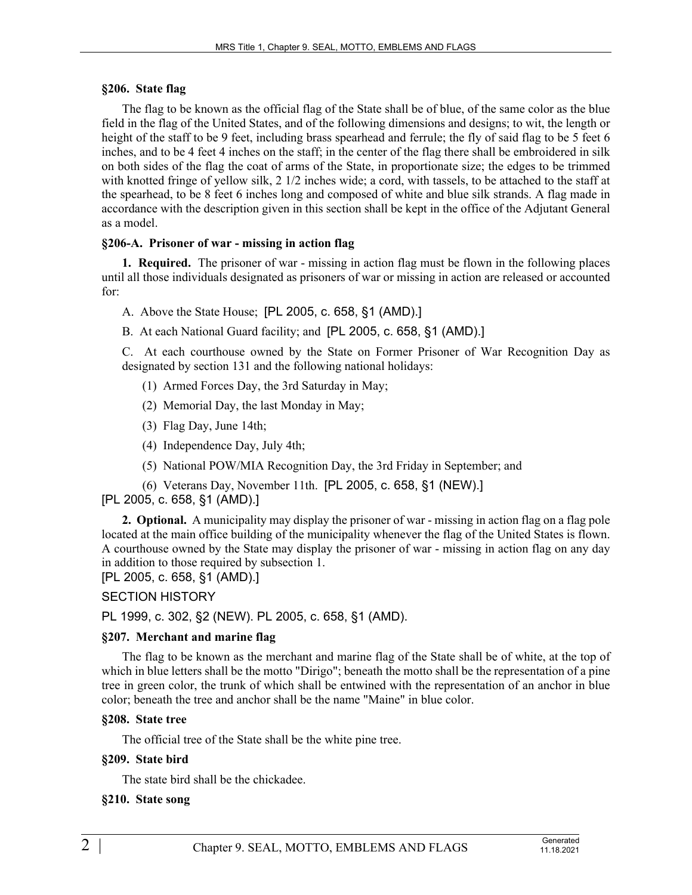#### **§206. State flag**

The flag to be known as the official flag of the State shall be of blue, of the same color as the blue field in the flag of the United States, and of the following dimensions and designs; to wit, the length or height of the staff to be 9 feet, including brass spearhead and ferrule; the fly of said flag to be 5 feet 6 inches, and to be 4 feet 4 inches on the staff; in the center of the flag there shall be embroidered in silk on both sides of the flag the coat of arms of the State, in proportionate size; the edges to be trimmed with knotted fringe of yellow silk, 2 1/2 inches wide; a cord, with tassels, to be attached to the staff at the spearhead, to be 8 feet 6 inches long and composed of white and blue silk strands. A flag made in accordance with the description given in this section shall be kept in the office of the Adjutant General as a model.

#### **§206-A. Prisoner of war - missing in action flag**

**1. Required.** The prisoner of war - missing in action flag must be flown in the following places until all those individuals designated as prisoners of war or missing in action are released or accounted for:

- A. Above the State House; [PL 2005, c. 658, §1 (AMD).]
- B. At each National Guard facility; and [PL 2005, c. 658, §1 (AMD).]

C. At each courthouse owned by the State on Former Prisoner of War Recognition Day as designated by section 131 and the following national holidays:

- (1) Armed Forces Day, the 3rd Saturday in May;
- (2) Memorial Day, the last Monday in May;
- (3) Flag Day, June 14th;
- (4) Independence Day, July 4th;
- (5) National POW/MIA Recognition Day, the 3rd Friday in September; and
- (6) Veterans Day, November 11th. [PL 2005, c. 658, §1 (NEW).]

#### [PL 2005, c. 658, §1 (AMD).]

**2. Optional.** A municipality may display the prisoner of war - missing in action flag on a flag pole located at the main office building of the municipality whenever the flag of the United States is flown. A courthouse owned by the State may display the prisoner of war - missing in action flag on any day in addition to those required by subsection 1.

[PL 2005, c. 658, §1 (AMD).]

#### SECTION HISTORY

PL 1999, c. 302, §2 (NEW). PL 2005, c. 658, §1 (AMD).

#### **§207. Merchant and marine flag**

The flag to be known as the merchant and marine flag of the State shall be of white, at the top of which in blue letters shall be the motto "Dirigo"; beneath the motto shall be the representation of a pine tree in green color, the trunk of which shall be entwined with the representation of an anchor in blue color; beneath the tree and anchor shall be the name "Maine" in blue color.

#### **§208. State tree**

The official tree of the State shall be the white pine tree.

#### **§209. State bird**

The state bird shall be the chickadee.

#### **§210. State song**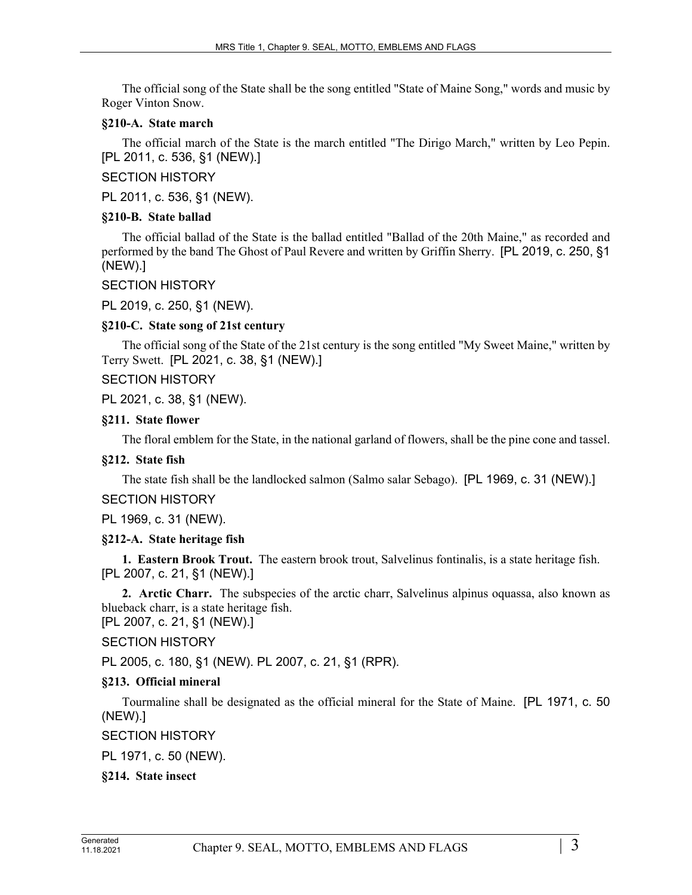The official song of the State shall be the song entitled "State of Maine Song," words and music by Roger Vinton Snow.

#### **§210-A. State march**

The official march of the State is the march entitled "The Dirigo March," written by Leo Pepin. [PL 2011, c. 536, §1 (NEW).]

## SECTION HISTORY

PL 2011, c. 536, §1 (NEW).

#### **§210-B. State ballad**

The official ballad of the State is the ballad entitled "Ballad of the 20th Maine," as recorded and performed by the band The Ghost of Paul Revere and written by Griffin Sherry. [PL 2019, c. 250, §1 (NEW).]

## SECTION HISTORY

PL 2019, c. 250, §1 (NEW).

## **§210-C. State song of 21st century**

The official song of the State of the 21st century is the song entitled "My Sweet Maine," written by Terry Swett. [PL 2021, c. 38, §1 (NEW).]

SECTION HISTORY

PL 2021, c. 38, §1 (NEW).

## **§211. State flower**

The floral emblem for the State, in the national garland of flowers, shall be the pine cone and tassel.

# **§212. State fish**

The state fish shall be the landlocked salmon (Salmo salar Sebago). [PL 1969, c. 31 (NEW).]

SECTION HISTORY

PL 1969, c. 31 (NEW).

#### **§212-A. State heritage fish**

**1. Eastern Brook Trout.** The eastern brook trout, Salvelinus fontinalis, is a state heritage fish. [PL 2007, c. 21, §1 (NEW).]

**2. Arctic Charr.** The subspecies of the arctic charr, Salvelinus alpinus oquassa, also known as blueback charr, is a state heritage fish. [PL 2007, c. 21, §1 (NEW).]

# SECTION HISTORY

PL 2005, c. 180, §1 (NEW). PL 2007, c. 21, §1 (RPR).

# **§213. Official mineral**

Tourmaline shall be designated as the official mineral for the State of Maine. [PL 1971, c. 50 (NEW).]

# SECTION HISTORY

PL 1971, c. 50 (NEW).

#### **§214. State insect**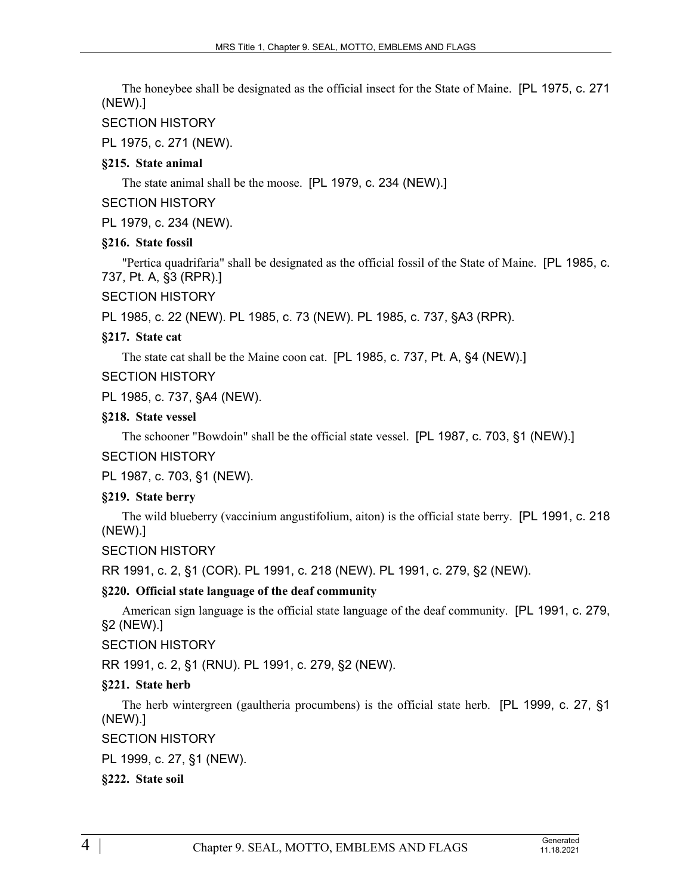The honeybee shall be designated as the official insect for the State of Maine. [PL 1975, c. 271 (NEW).]

# SECTION HISTORY

PL 1975, c. 271 (NEW).

## **§215. State animal**

The state animal shall be the moose. [PL 1979, c. 234 (NEW).]

## SECTION HISTORY

PL 1979, c. 234 (NEW).

# **§216. State fossil**

"Pertica quadrifaria" shall be designated as the official fossil of the State of Maine. [PL 1985, c. 737, Pt. A, §3 (RPR).]

SECTION HISTORY

PL 1985, c. 22 (NEW). PL 1985, c. 73 (NEW). PL 1985, c. 737, §A3 (RPR).

# **§217. State cat**

The state cat shall be the Maine coon cat. [PL 1985, c. 737, Pt. A, §4 (NEW).]

# SECTION HISTORY

PL 1985, c. 737, §A4 (NEW).

# **§218. State vessel**

The schooner "Bowdoin" shall be the official state vessel. [PL 1987, c. 703, §1 (NEW).]

# SECTION HISTORY

PL 1987, c. 703, §1 (NEW).

# **§219. State berry**

The wild blueberry (vaccinium angustifolium, aiton) is the official state berry. [PL 1991, c. 218 (NEW).]

# SECTION HISTORY

RR 1991, c. 2, §1 (COR). PL 1991, c. 218 (NEW). PL 1991, c. 279, §2 (NEW).

# **§220. Official state language of the deaf community**

American sign language is the official state language of the deaf community. [PL 1991, c. 279, §2 (NEW).]

# SECTION HISTORY

RR 1991, c. 2, §1 (RNU). PL 1991, c. 279, §2 (NEW).

# **§221. State herb**

The herb wintergreen (gaultheria procumbens) is the official state herb. [PL 1999, c. 27, §1 (NEW).]

# SECTION HISTORY

PL 1999, c. 27, §1 (NEW).

# **§222. State soil**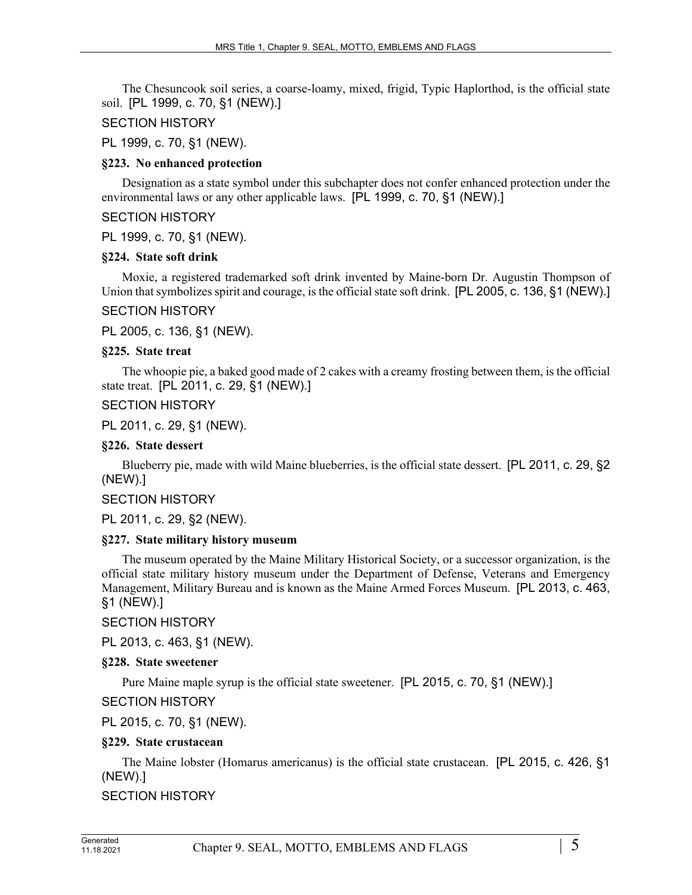The Chesuncook soil series, a coarse-loamy, mixed, frigid, Typic Haplorthod, is the official state soil. [PL 1999, c. 70, §1 (NEW).]

#### SECTION HISTORY

PL 1999, c. 70, §1 (NEW).

## **§223. No enhanced protection**

Designation as a state symbol under this subchapter does not confer enhanced protection under the environmental laws or any other applicable laws. [PL 1999, c. 70, §1 (NEW).]

#### SECTION HISTORY

PL 1999, c. 70, §1 (NEW).

## **§224. State soft drink**

Moxie, a registered trademarked soft drink invented by Maine-born Dr. Augustin Thompson of Union that symbolizes spirit and courage, is the official state soft drink. [PL 2005, c. 136, §1 (NEW).]

## SECTION HISTORY

PL 2005, c. 136, §1 (NEW).

## **§225. State treat**

The whoopie pie, a baked good made of 2 cakes with a creamy frosting between them, is the official state treat. [PL 2011, c. 29, §1 (NEW).]

# SECTION HISTORY

PL 2011, c. 29, §1 (NEW).

## **§226. State dessert**

Blueberry pie, made with wild Maine blueberries, is the official state dessert. [PL 2011, c. 29, §2 (NEW).]

# SECTION HISTORY

PL 2011, c. 29, §2 (NEW).

#### **§227. State military history museum**

The museum operated by the Maine Military Historical Society, or a successor organization, is the official state military history museum under the Department of Defense, Veterans and Emergency Management, Military Bureau and is known as the Maine Armed Forces Museum. [PL 2013, c. 463, §1 (NEW).]

SECTION HISTORY

PL 2013, c. 463, §1 (NEW).

# **§228. State sweetener**

Pure Maine maple syrup is the official state sweetener. [PL 2015, c. 70, §1 (NEW).]

SECTION HISTORY

PL 2015, c. 70, §1 (NEW).

# **§229. State crustacean**

The Maine lobster (Homarus americanus) is the official state crustacean. [PL 2015, c. 426, §1 (NEW).]

# SECTION HISTORY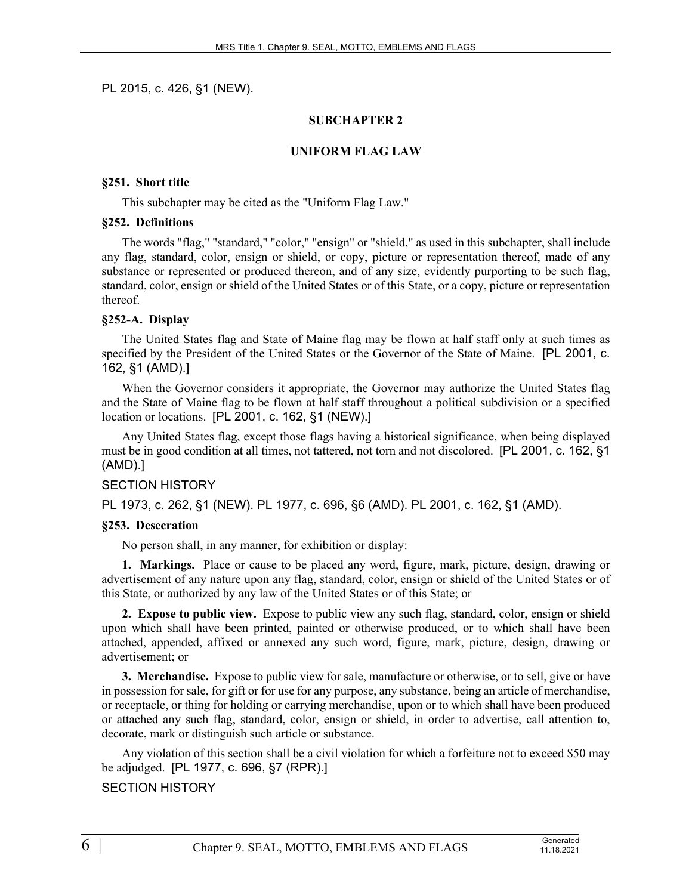PL 2015, c. 426, §1 (NEW).

#### **SUBCHAPTER 2**

#### **UNIFORM FLAG LAW**

#### **§251. Short title**

This subchapter may be cited as the "Uniform Flag Law."

#### **§252. Definitions**

The words "flag," "standard," "color," "ensign" or "shield," as used in this subchapter, shall include any flag, standard, color, ensign or shield, or copy, picture or representation thereof, made of any substance or represented or produced thereon, and of any size, evidently purporting to be such flag, standard, color, ensign or shield of the United States or of this State, or a copy, picture or representation thereof.

#### **§252-A. Display**

The United States flag and State of Maine flag may be flown at half staff only at such times as specified by the President of the United States or the Governor of the State of Maine. [PL 2001, c. 162, §1 (AMD).]

When the Governor considers it appropriate, the Governor may authorize the United States flag and the State of Maine flag to be flown at half staff throughout a political subdivision or a specified location or locations. [PL 2001, c. 162, §1 (NEW).]

Any United States flag, except those flags having a historical significance, when being displayed must be in good condition at all times, not tattered, not torn and not discolored. [PL 2001, c. 162, §1 (AMD).]

#### SECTION HISTORY

PL 1973, c. 262, §1 (NEW). PL 1977, c. 696, §6 (AMD). PL 2001, c. 162, §1 (AMD).

#### **§253. Desecration**

No person shall, in any manner, for exhibition or display:

**1. Markings.** Place or cause to be placed any word, figure, mark, picture, design, drawing or advertisement of any nature upon any flag, standard, color, ensign or shield of the United States or of this State, or authorized by any law of the United States or of this State; or

**2. Expose to public view.** Expose to public view any such flag, standard, color, ensign or shield upon which shall have been printed, painted or otherwise produced, or to which shall have been attached, appended, affixed or annexed any such word, figure, mark, picture, design, drawing or advertisement; or

**3. Merchandise.** Expose to public view for sale, manufacture or otherwise, or to sell, give or have in possession for sale, for gift or for use for any purpose, any substance, being an article of merchandise, or receptacle, or thing for holding or carrying merchandise, upon or to which shall have been produced or attached any such flag, standard, color, ensign or shield, in order to advertise, call attention to, decorate, mark or distinguish such article or substance.

Any violation of this section shall be a civil violation for which a forfeiture not to exceed \$50 may be adjudged. [PL 1977, c. 696, §7 (RPR).]

# SECTION HISTORY